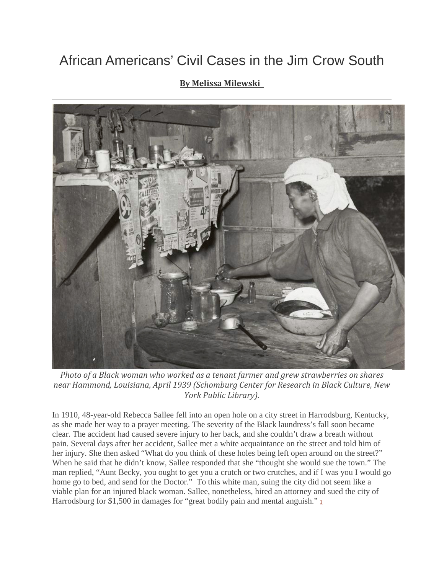## African Americans' Civil Cases in the Jim Crow South

## **By Melissa [Milewski](http://www.aaihs.org/author/emeraldfaith95/)**



*Photo of a Black woman who worked as a tenant farmer and grew strawberries on shares near Hammond, Louisiana, April 1939 (Schomburg Center for Research in Black Culture, New York Public Library).*

In 1910, 48-year-old Rebecca Sallee fell into an open hole on a city street in Harrodsburg, Kentucky, as she made her way to a prayer meeting. The severity of the Black laundress's fall soon became clear. The accident had caused severe injury to her back, and she couldn't draw a breath without pain. Several days after her accident, Sallee met a white acquaintance on the street and told him of her injury. She then asked "What do you think of these holes being left open around on the street?" When he said that he didn't know, Sallee responded that she "thought she would sue the town." The man replied, "Aunt Becky, you ought to get you a crutch or two crutches, and if I was you I would go home go to bed, and send for the Doctor." To this white man, suing the city did not seem like a viable plan for an injured black woman. Sallee, nonetheless, hired an attorney and sued the city of Harrodsburg for \$[1](http://www.aaihs.org/?p=25824#fn-25824-1),500 in damages for "great bodily pain and mental anguish." $1$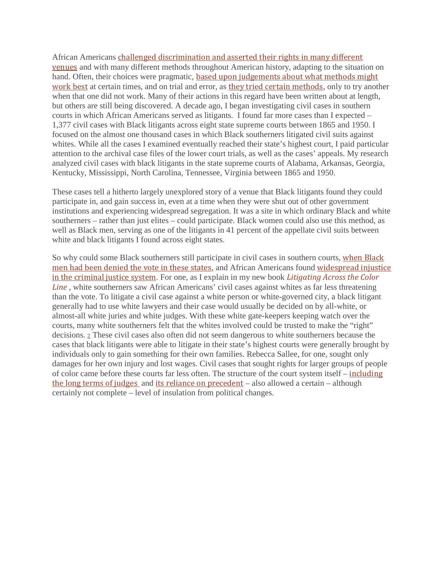African Americans challenged [discrimination](http://www.aaihs.org/new-age-activism-maria-w-stewart-and-black-lives-matter/) and asserted their rights in many different [venues](http://www.aaihs.org/new-age-activism-maria-w-stewart-and-black-lives-matter/) and with many different methods throughout American history, adapting to the situation on hand. Often, their choices were pragmatic, based upon [judgements](http://www.aaihs.org/leveraging-the-law/) about what methods might [work](http://www.aaihs.org/leveraging-the-law/) best at certain times, and on trial and error, as they tried certain [methods](https://www.washingtonpost.com/news/the-fix/wp/2016/04/19/black-lives-matters-and-americas-long-history-of-resisting-civil-rights-protesters/?utm_term=.95d20120ab23), only to try another when that one did not work. Many of their actions in this regard have been written about at length, but others are still being discovered. A decade ago, I began investigating civil cases in southern courts in which African Americans served as litigants. I found far more cases than I expected – 1,377 civil cases with Black litigants across eight state supreme courts between 1865 and 1950. I focused on the almost one thousand cases in which Black southerners litigated civil suits against whites. While all the cases I examined eventually reached their state's highest court, I paid particular attention to the archival case files of the lower court trials, as well as the cases' appeals. My research analyzed civil cases with black litigants in the state supreme courts of Alabama, Arkansas, Georgia, Kentucky, Mississippi, North Carolina, Tennessee, Virginia between 1865 and 1950.

These cases tell a hitherto largely unexplored story of a venue that Black litigants found they could participate in, and gain success in, even at a time when they were shut out of other government institutions and experiencing widespread segregation. It was a site in which ordinary Black and white southerners – rather than just elites – could participate. Black women could also use this method, as well as Black men, serving as one of the litigants in 41 percent of the appellate civil suits between white and black litigants I found across eight states.

So why could some Black southerners still participate in civil cases in southern courts, [when](https://www.worldcat.org/title/shaping-of-southern-politics-suffrage-restriction-and-the-establishment-of-the-one-party-south-1880-1910/oclc/760402799&referer=brief_results) Black men had been [denied](https://www.worldcat.org/title/shaping-of-southern-politics-suffrage-restriction-and-the-establishment-of-the-one-party-south-1880-1910/oclc/760402799&referer=brief_results) the vote in these states, and African Americans found [widespread](https://www.penguinrandomhouse.com/books/14301/slavery-by-another-name-by-douglas-a-blackmon/9780385722704/) injustice in the [criminal](https://www.penguinrandomhouse.com/books/14301/slavery-by-another-name-by-douglas-a-blackmon/9780385722704/) justice system. For one, as I explain in my new book *[Litigating](https://global.oup.com/academic/product/litigating-across-the-color-line-9780190249182?cc=gb&lang=en&) Across the Color [Line](https://global.oup.com/academic/product/litigating-across-the-color-line-9780190249182?cc=gb&lang=en&)* , white southerners saw African Americans' civil cases against whites as far less threatening than the vote. To litigate a civil case against a white person or white-governed city, a black litigant generally had to use white lawyers and their case would usually be decided on by all-white, or almost-all white juries and white judges. With these white gate-keepers keeping watch over the courts, many white southerners felt that the whites involved could be trusted to make the "right" decisions. [2](http://www.aaihs.org/?p=25824#fn-25824-2) These civil cases also often did not seem dangerous to white southerners because the cases that black litigants were able to litigate in their state's highest courts were generally brought by individuals only to gain something for their own families. Rebecca Sallee, for one, sought only damages for her own injury and lost wages. Civil cases that sought rights for larger groups of people of color came before these courts far less often. The structure of the court system itself – [including](http://www.hup.harvard.edu/catalog.php?isbn=9780674055483) the long terms of [judges](http://www.hup.harvard.edu/catalog.php?isbn=9780674055483) and its reliance on [precedent](http://www.worldcat.org/title/fundamentals-of-american-law/oclc/35588917) – also allowed a certain – although certainly not complete – level of insulation from political changes.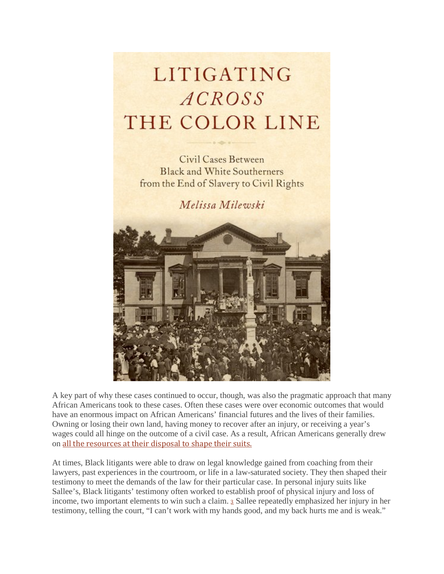## LITIGATING ACROSS THE COLOR LINE

**Civil Cases Between Black and White Southerners** from the End of Slavery to Civil Rights

Melissa Milewski



A key part of why these cases continued to occur, though, was also the pragmatic approach that many African Americans took to these cases. Often these cases were over economic outcomes that would have an enormous impact on African Americans' financial futures and the lives of their families. Owning or losing their own land, having money to recover after an injury, or receiving a year's wages could all hinge on the outcome of a civil case. As a result, African Americans generally drew on all the [resources](http://www.aaihs.org/race-reconstruction/) at their disposal to shape their suits.

At times, Black litigants were able to draw on legal knowledge gained from coaching from their lawyers, past experiences in the courtroom, or life in a law-saturated society. They then shaped their testimony to meet the demands of the law for their particular case. In personal injury suits like Sallee's, Black litigants' testimony often worked to establish proof of physical injury and loss of income, two important elements to win such a claim. [3](http://www.aaihs.org/?p=25824#fn-25824-3) Sallee repeatedly emphasized her injury in her testimony, telling the court, "I can't work with my hands good, and my back hurts me and is weak."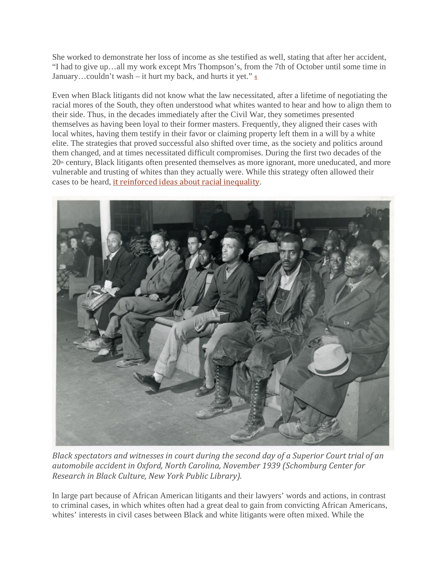She worked to demonstrate her loss of income as she testified as well, stating that after her accident, "I had to give up…all my work except Mrs Thompson's, from the 7th of October until some time in January...couldn't wash – it hurt my back, and hurts it yet." $\frac{4}{3}$  $\frac{4}{3}$  $\frac{4}{3}$ 

Even when Black litigants did not know what the law necessitated, after a lifetime of negotiating the racial mores of the South, they often understood what whites wanted to hear and how to align them to their side. Thus, in the decades immediately after the Civil War, they sometimes presented themselves as having been loyal to their former masters. Frequently, they aligned their cases with local whites, having them testify in their favor or claiming property left them in a will by a white elite. The strategies that proved successful also shifted over time, as the society and politics around them changed, and at times necessitated difficult compromises. During the first two decades of the  $20<sup>th</sup>$  century, Black litigants often presented themselves as more ignorant, more uneducated, and more vulnerable and trusting of whites than they actually were. While this strategy often allowed their cases to be heard, it [reinforced](https://global.oup.com/academic/product/litigating-across-the-color-line-9780190249182?cc=gb&lang=en&) ideas about racial inequality.



*Black spectators and witnesses in court during the second day of a Superior Court trial of an automobile accident in Oxford, North Carolina, November 1939 (Schomburg Center for Research in Black Culture, New York Public Library).*

In large part because of African American litigants and their lawyers' words and actions, in contrast to criminal cases, in which whites often had a great deal to gain from convicting African Americans, whites' interests in civil cases between Black and white litigants were often mixed. While the